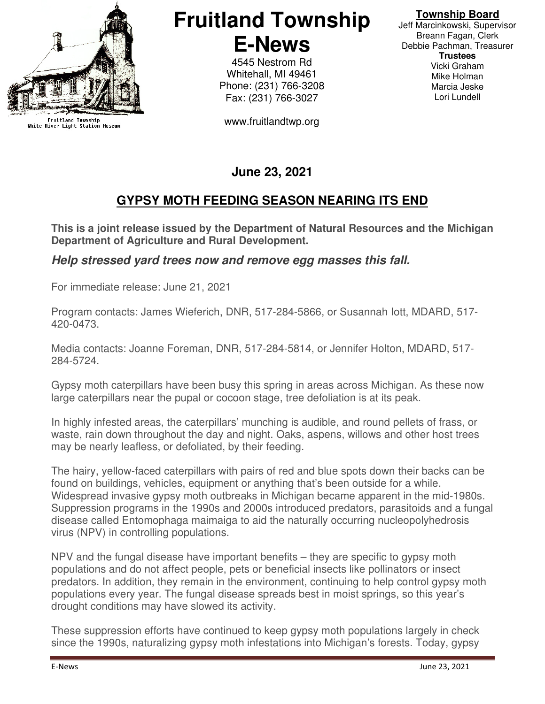

Fruitland Township<br>White River Light Station Museum

# **Fruitland Township E-News**

4545 Nestrom Rd Whitehall, MI 49461 Phone: (231) 766-3208 Fax: (231) 766-3027

www.fruitlandtwp.org

#### **Township Board**

Jeff Marcinkowski, Supervisor Breann Fagan, Clerk Debbie Pachman, Treasurer **Trustees**  Vicki Graham Mike Holman Marcia Jeske Lori Lundell

# **June 23, 2021**

## **GYPSY MOTH FEEDING SEASON NEARING ITS END**

**This is a joint release issued by the Department of Natural Resources and the Michigan Department of Agriculture and Rural Development.**

#### **Help stressed yard trees now and remove egg masses this fall.**

For immediate release: June 21, 2021

Program contacts: James Wieferich, DNR, 517-284-5866, or Susannah Iott, MDARD, 517- 420-0473.

Media contacts: Joanne Foreman, DNR, 517-284-5814, or Jennifer Holton, MDARD, 517- 284-5724.

Gypsy moth caterpillars have been busy this spring in areas across Michigan. As these now large caterpillars near the pupal or cocoon stage, tree defoliation is at its peak.

In highly infested areas, the caterpillars' munching is audible, and round pellets of frass, or waste, rain down throughout the day and night. Oaks, aspens, willows and other host trees may be nearly leafless, or defoliated, by their feeding.

The hairy, yellow-faced caterpillars with pairs of red and blue spots down their backs can be found on buildings, vehicles, equipment or anything that's been outside for a while. Widespread invasive gypsy moth outbreaks in Michigan became apparent in the mid-1980s. Suppression programs in the 1990s and 2000s introduced predators, parasitoids and a fungal disease called Entomophaga maimaiga to aid the naturally occurring nucleopolyhedrosis virus (NPV) in controlling populations.

NPV and the fungal disease have important benefits – they are specific to gypsy moth populations and do not affect people, pets or beneficial insects like pollinators or insect predators. In addition, they remain in the environment, continuing to help control gypsy moth populations every year. The fungal disease spreads best in moist springs, so this year's drought conditions may have slowed its activity.

These suppression efforts have continued to keep gypsy moth populations largely in check since the 1990s, naturalizing gypsy moth infestations into Michigan's forests. Today, gypsy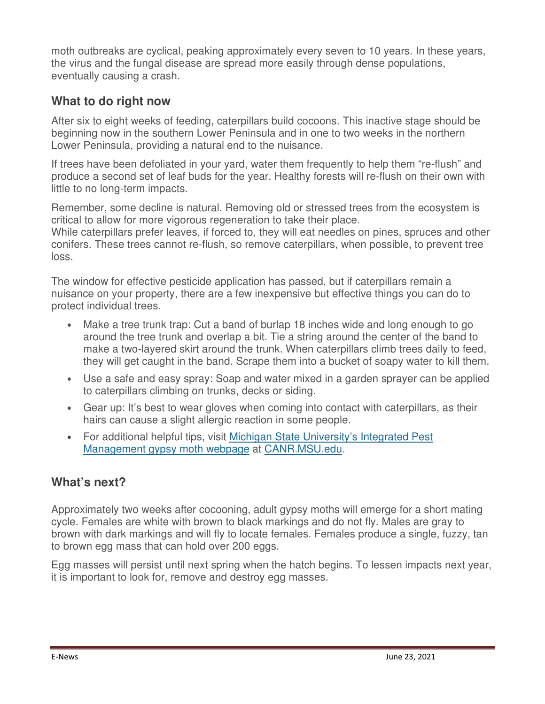moth outbreaks are cyclical, peaking approximately every seven to 10 years. In these years, the virus and the fungal disease are spread more easily through dense populations, eventually causing a crash.

## **What to do right now**

After six to eight weeks of feeding, caterpillars build cocoons. This inactive stage should be beginning now in the southern Lower Peninsula and in one to two weeks in the northern Lower Peninsula, providing a natural end to the nuisance.

If trees have been defoliated in your yard, water them frequently to help them "re-flush" and produce a second set of leaf buds for the year. Healthy forests will re-flush on their own with little to no long-term impacts.

Remember, some decline is natural. Removing old or stressed trees from the ecosystem is critical to allow for more vigorous regeneration to take their place.

While caterpillars prefer leaves, if forced to, they will eat needles on pines, spruces and other conifers. These trees cannot re-flush, so remove caterpillars, when possible, to prevent tree loss.

The window for effective pesticide application has passed, but if caterpillars remain a nuisance on your property, there are a few inexpensive but effective things you can do to protect individual trees.

- Make a tree trunk trap: Cut a band of burlap 18 inches wide and long enough to go around the tree trunk and overlap a bit. Tie a string around the center of the band to make a two-layered skirt around the trunk. When caterpillars climb trees daily to feed, they will get caught in the band. Scrape them into a bucket of soapy water to kill them.
- Use a safe and easy spray: Soap and water mixed in a garden sprayer can be applied to caterpillars climbing on trunks, decks or siding.
- Gear up: It's best to wear gloves when coming into contact with caterpillars, as their hairs can cause a slight allergic reaction in some people.
- For additional helpful tips, visit Michigan State University's Integrated Pest Management gypsy moth webpage at CANR.MSU.edu.

### **What's next?**

Approximately two weeks after cocooning, adult gypsy moths will emerge for a short mating cycle. Females are white with brown to black markings and do not fly. Males are gray to brown with dark markings and will fly to locate females. Females produce a single, fuzzy, tan to brown egg mass that can hold over 200 eggs.

Egg masses will persist until next spring when the hatch begins. To lessen impacts next year, it is important to look for, remove and destroy egg masses.